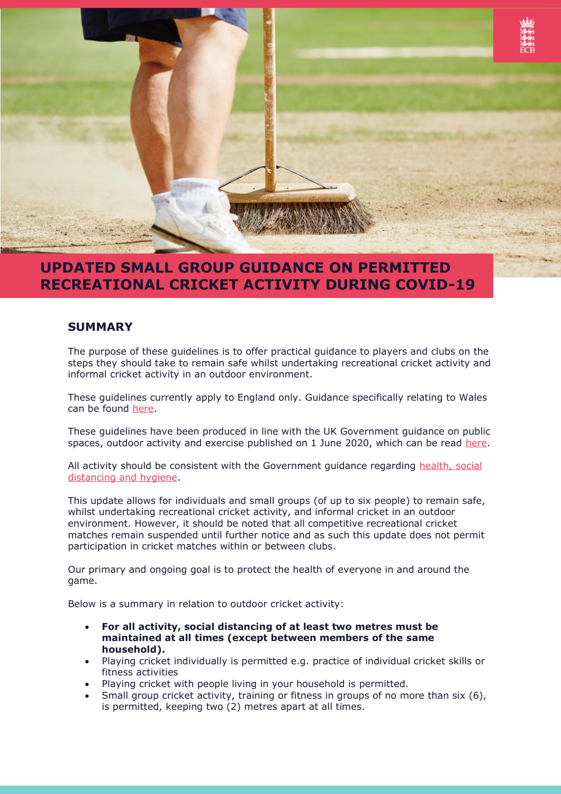

# **UPDATED SMALL GROUP GUIDANCE ON PERMITTED RECREATIONAL CRICKET ACTIVITY DURING COVID-19**

## **SUMMARY**

The purpose of these guidelines is to offer practical guidance to players and clubs on the steps they should take to remain safe whilst undertaking recreational cricket activity and informal cricket activity in an outdoor environment.

These guidelines currently apply to England only. Guidance specifically relating to Wales can be found [here.](https://gov.wales/coronavirus)

These guidelines have been produced in line with the UK Government guidance on public spaces, outdoor activity and exercise published on 1 June 2020, which can be read [here.](https://www.gov.uk/government/publications/coronavirus-covid-19-guidance-on-phased-return-of-sport-and-recreation/guidance-for-the-public-on-the-phased-return-of-outdoor-sport-and-recreation)

All activity should be consistent with the Government guidance regarding [health, social](https://www.gov.uk/government/collections/coronavirus-covid-19-list-of-guidance)  [distancing and hygiene.](https://www.gov.uk/government/collections/coronavirus-covid-19-list-of-guidance)

This update allows for individuals and small groups (of up to six people) to remain safe, whilst undertaking recreational cricket activity, and informal cricket in an outdoor environment. However, it should be noted that all competitive recreational cricket matches remain suspended until further notice and as such this update does not permit participation in cricket matches within or between clubs.

Our primary and ongoing goal is to protect the health of everyone in and around the game.

Below is a summary in relation to outdoor cricket activity:

- **For all activity, social distancing of at least two metres must be maintained at all times (except between members of the same household).**
- Playing cricket individually is permitted e.g. practice of individual cricket skills or fitness activities
- Playing cricket with people living in your household is permitted.
- Small group cricket activity, training or fitness in groups of no more than six (6), is permitted, keeping two (2) metres apart at all times.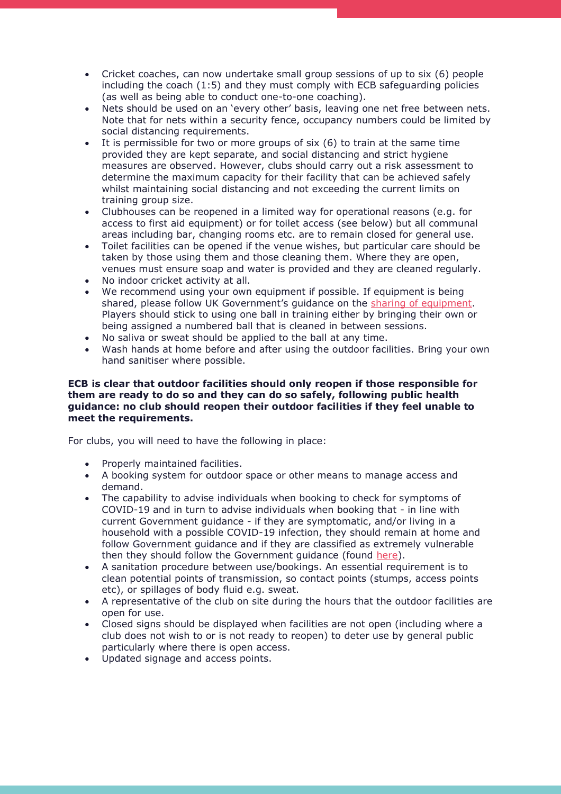- Cricket coaches, can now undertake small group sessions of up to six (6) people including the coach (1:5) and they must comply with ECB safeguarding policies (as well as being able to conduct one-to-one coaching).
- Nets should be used on an 'every other' basis, leaving one net free between nets. Note that for nets within a security fence, occupancy numbers could be limited by social distancing requirements.
- It is permissible for two or more groups of six (6) to train at the same time provided they are kept separate, and social distancing and strict hygiene measures are observed. However, clubs should carry out a risk assessment to determine the maximum capacity for their facility that can be achieved safely whilst maintaining social distancing and not exceeding the current limits on training group size.
- Clubhouses can be reopened in a limited way for operational reasons (e.g. for access to first aid equipment) or for toilet access (see below) but all communal areas including bar, changing rooms etc. are to remain closed for general use.
- Toilet facilities can be opened if the venue wishes, but particular care should be taken by those using them and those cleaning them. Where they are open, venues must ensure soap and water is provided and they are cleaned regularly.
- No indoor cricket activity at all.
- We recommend using your own equipment if possible. If equipment is being shared, please follow UK Government's guidance on the [sharing of equipment.](https://www.gov.uk/government/publications/coronavirus-covid-19-guidance-on-phased-return-of-sport-and-recreation/guidance-for-the-public-on-the-phased-return-of-outdoor-sport-and-recreation) Players should stick to using one ball in training either by bringing their own or being assigned a numbered ball that is cleaned in between sessions.
- No saliva or sweat should be applied to the ball at any time.
- Wash hands at home before and after using the outdoor facilities. Bring your own hand sanitiser where possible.

#### **ECB is clear that outdoor facilities should only reopen if those responsible for them are ready to do so and they can do so safely, following public health guidance: no club should reopen their outdoor facilities if they feel unable to meet the requirements.**

For clubs, you will need to have the following in place:

- Properly maintained facilities.
- A booking system for outdoor space or other means to manage access and demand.
- The capability to advise individuals when booking to check for symptoms of COVID-19 and in turn to advise individuals when booking that - in line with current Government guidance - if they are symptomatic, and/or living in a household with a possible COVID-19 infection, they should remain at home and follow Government guidance and if they are classified as extremely vulnerable then they should follow the Government guidance (found [here\)](https://www.gov.uk/coronavirus).
- A sanitation procedure between use/bookings. An essential requirement is to clean potential points of transmission, so contact points (stumps, access points etc), or spillages of body fluid e.g. sweat.
- A representative of the club on site during the hours that the outdoor facilities are open for use.
- Closed signs should be displayed when facilities are not open (including where a club does not wish to or is not ready to reopen) to deter use by general public particularly where there is open access.
- Updated signage and access points.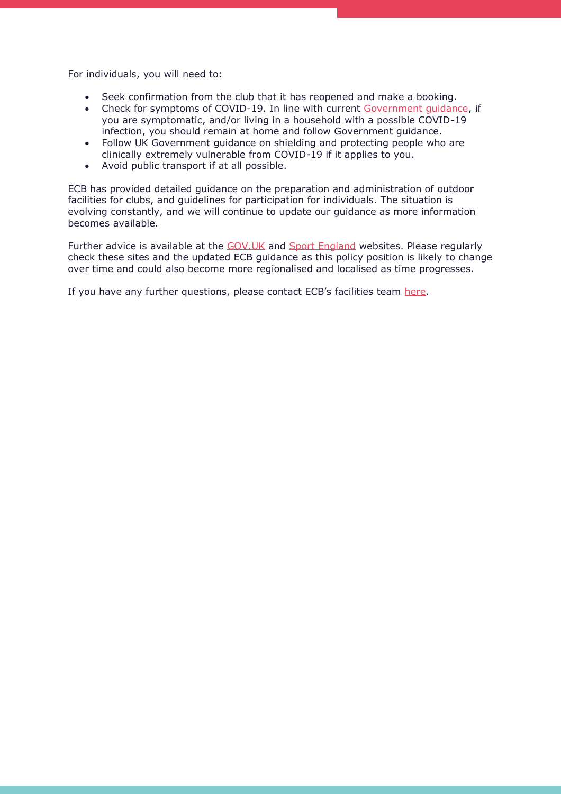For individuals, you will need to:

- Seek confirmation from the club that it has reopened and make a booking.
- Check for symptoms of COVID-19. In line with current Government quidance, if you are symptomatic, and/or living in a household with a possible COVID-19 infection, you should remain at home and follow Government guidance.
- Follow UK Government guidance on shielding and protecting people who are clinically extremely vulnerable from COVID-19 if it applies to you.
- Avoid public transport if at all possible.

ECB has provided detailed guidance on the preparation and administration of outdoor facilities for clubs, and guidelines for participation for individuals. The situation is evolving constantly, and we will continue to update our guidance as more information becomes available.

Further advice is available at the [GOV.UK](https://www.gov.uk/government/publications/coronavirus-covid-19-guidance-on-phased-return-of-sport-and-recreation/guidance-for-the-public-on-the-phased-return-of-outdoor-sport-and-recreation) and [Sport England](https://www.sportengland.org/how-we-can-help/coronavirus/coronavirus-what-happens-next#your_questions_answered) websites. Please regularly check these sites and the updated ECB guidance as this policy position is likely to change over time and could also become more regionalised and localised as time progresses.

If you have any further questions, please contact ECB's facilities team [here.](mailto:facilities@ecb.co.uk)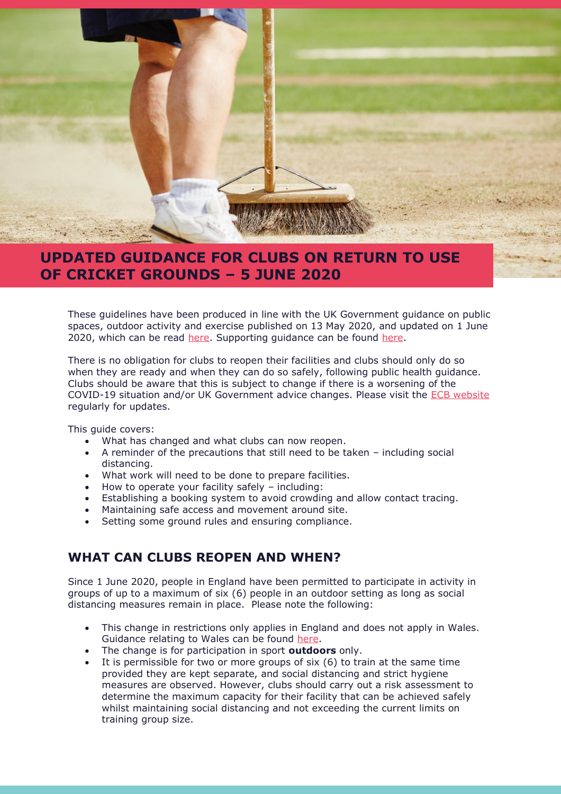

# **UPDATED GUIDANCE FOR CLUBS ON RETURN TO USE OF CRICKET GROUNDS – 5 JUNE 2020**

These guidelines have been produced in line with the UK Government guidance on public spaces, outdoor activity and exercise published on 13 May 2020, and updated on 1 June 2020, which can be read [here.](https://www.gov.uk/government/publications/coronavirus-covid-19-guidance-on-phased-return-of-sport-and-recreation) Supporting guidance can be found here.

There is no obligation for clubs to reopen their facilities and clubs should only do so when they are ready and when they can do so safely, following public health guidance. Clubs should be aware that this is subject to change if there is a worsening of the COVID-19 situation and/or UK Government advice changes. Please visit the [ECB website](https://www.ecb.co.uk/) regularly for updates.

This guide covers:

- What has changed and what clubs can now reopen.
- A reminder of the precautions that still need to be taken including social distancing.
- What work will need to be done to prepare facilities.
- How to operate your facility safely including:
- Establishing a booking system to avoid crowding and allow contact tracing.
- Maintaining safe access and movement around site.
- Setting some ground rules and ensuring compliance.

## **WHAT CAN CLUBS REOPEN AND WHEN?**

Since 1 June 2020, people in England have been permitted to participate in activity in groups of up to a maximum of six (6) people in an outdoor setting as long as social distancing measures remain in place. Please note the following:

- This change in restrictions only applies in England and does not apply in Wales. Guidance relating to Wales can be found [here.](https://gov.wales/coronavirus)
- The change is for participation in sport **outdoors** only.<br>• It is permissible for two or more groups of six (6) to tra
- It is permissible for two or more groups of  $s$ ix  $(6)$  to train at the same time provided they are kept separate, and social distancing and strict hygiene measures are observed. However, clubs should carry out a risk assessment to determine the maximum capacity for their facility that can be achieved safely whilst maintaining social distancing and not exceeding the current limits on training group size.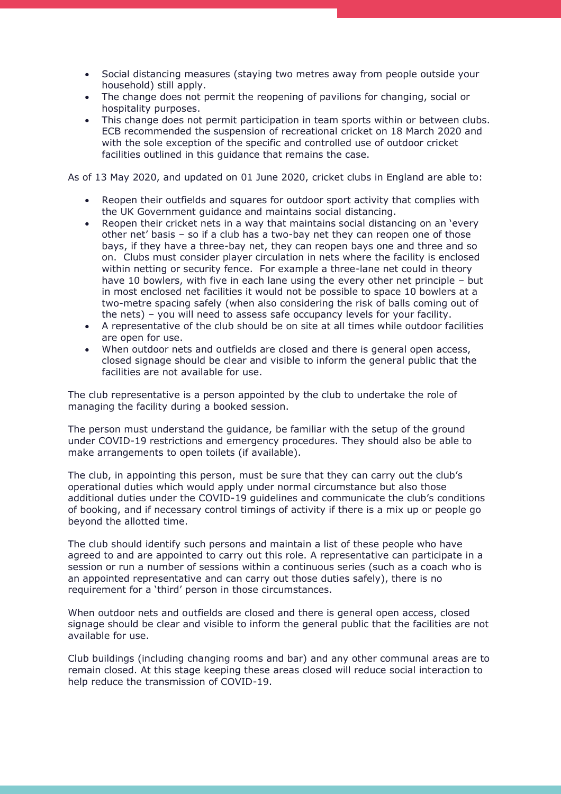- Social distancing measures (staying two metres away from people outside your household) still apply.
- The change does not permit the reopening of pavilions for changing, social or hospitality purposes.
- This change does not permit participation in team sports within or between clubs. ECB recommended the suspension of recreational cricket on 18 March 2020 and with the sole exception of the specific and controlled use of outdoor cricket facilities outlined in this guidance that remains the case.

As of 13 May 2020, and updated on 01 June 2020, cricket clubs in England are able to:

- Reopen their outfields and squares for outdoor sport activity that complies with the UK Government guidance and maintains social distancing.
- Reopen their cricket nets in a way that maintains social distancing on an 'every other net' basis – so if a club has a two-bay net they can reopen one of those bays, if they have a three-bay net, they can reopen bays one and three and so on. Clubs must consider player circulation in nets where the facility is enclosed within netting or security fence. For example a three-lane net could in theory have 10 bowlers, with five in each lane using the every other net principle – but in most enclosed net facilities it would not be possible to space 10 bowlers at a two-metre spacing safely (when also considering the risk of balls coming out of the nets) – you will need to assess safe occupancy levels for your facility.
- A representative of the club should be on site at all times while outdoor facilities are open for use.
- When outdoor nets and outfields are closed and there is general open access, closed signage should be clear and visible to inform the general public that the facilities are not available for use.

The club representative is a person appointed by the club to undertake the role of managing the facility during a booked session.

The person must understand the guidance, be familiar with the setup of the ground under COVID-19 restrictions and emergency procedures. They should also be able to make arrangements to open toilets (if available).

The club, in appointing this person, must be sure that they can carry out the club's operational duties which would apply under normal circumstance but also those additional duties under the COVID-19 guidelines and communicate the club's conditions of booking, and if necessary control timings of activity if there is a mix up or people go beyond the allotted time.

The club should identify such persons and maintain a list of these people who have agreed to and are appointed to carry out this role. A representative can participate in a session or run a number of sessions within a continuous series (such as a coach who is an appointed representative and can carry out those duties safely), there is no requirement for a 'third' person in those circumstances.

When outdoor nets and outfields are closed and there is general open access, closed signage should be clear and visible to inform the general public that the facilities are not available for use.

Club buildings (including changing rooms and bar) and any other communal areas are to remain closed. At this stage keeping these areas closed will reduce social interaction to help reduce the transmission of COVID-19.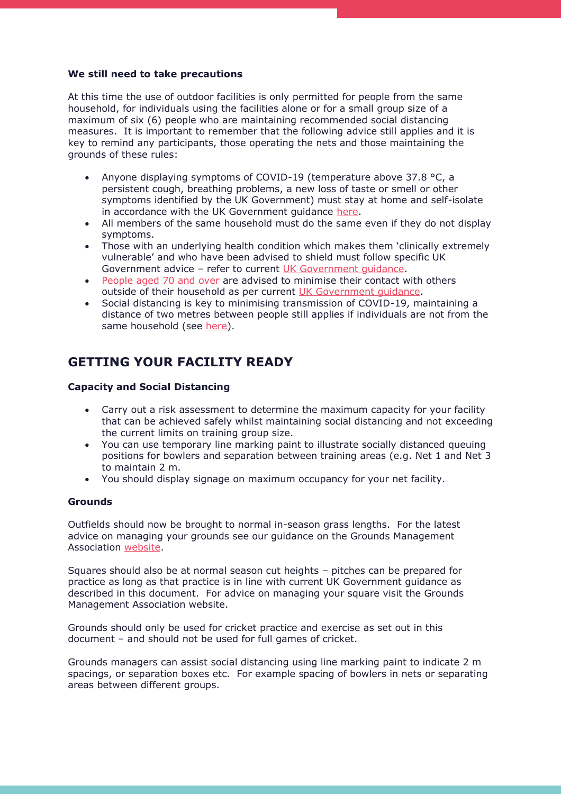#### **We still need to take precautions**

At this time the use of outdoor facilities is only permitted for people from the same household, for individuals using the facilities alone or for a small group size of a maximum of six (6) people who are maintaining recommended social distancing measures. It is important to remember that the following advice still applies and it is key to remind any participants, those operating the nets and those maintaining the grounds of these rules:

- Anyone displaying symptoms of COVID-19 (temperature above 37.8 °C, a persistent cough, breathing problems, a new loss of taste or smell or other symptoms identified by the UK Government) must stay at home and self-isolate in accordance with the UK Government guidance [here.](https://www.gov.uk/government/publications/covid-19-stay-at-home-guidance)
- All members of the same household must do the same even if they do not display symptoms.
- Those with an underlying health condition which makes them 'clinically extremely vulnerable' and who have been advised to shield must follow specific UK Government advice – refer to current [UK Government](https://www.gov.uk/government/publications/guidance-on-shielding-and-protecting-extremely-vulnerable-persons-from-covid-19/guidance-on-shielding-and-protecting-extremely-vulnerable-persons-from-covid-19) guidance.
- [People aged 70 and over](https://www.gov.uk/government/publications/full-guidance-on-staying-at-home-and-away-from-others/full-guidance-on-staying-at-home-and-away-from-others) are advised to minimise their contact with others outside of their household as per current [UK Government guidance.](https://www.gov.uk/government/publications/staying-alert-and-safe-social-distancing)
- Social distancing is key to minimising transmission of COVID-19, maintaining a distance of two metres between people still applies if individuals are not from the same household (see [here\)](https://www.gov.uk/government/publications/staying-alert-and-safe-social-distancing).

## **GETTING YOUR FACILITY READY**

#### **Capacity and Social Distancing**

- Carry out a risk assessment to determine the maximum capacity for your facility that can be achieved safely whilst maintaining social distancing and not exceeding the current limits on training group size.
- You can use temporary line marking paint to illustrate socially distanced queuing positions for bowlers and separation between training areas (e.g. Net 1 and Net 3 to maintain 2 m.
- You should display signage on maximum occupancy for your net facility.

#### **Grounds**

Outfields should now be brought to normal in-season grass lengths. For the latest advice on managing your grounds see our guidance on the Grounds Management Association [website.](https://thegma.org.uk/sites/default/files/images/inline-images/interim_works_-_fit_for_play_cricket_27_05_2020.pdf)

Squares should also be at normal season cut heights – pitches can be prepared for practice as long as that practice is in line with current UK Government guidance as described in this document. For advice on managing your square visit the Grounds Management Association website.

Grounds should only be used for cricket practice and exercise as set out in this document – and should not be used for full games of cricket.

Grounds managers can assist social distancing using line marking paint to indicate 2 m spacings, or separation boxes etc. For example spacing of bowlers in nets or separating areas between different groups.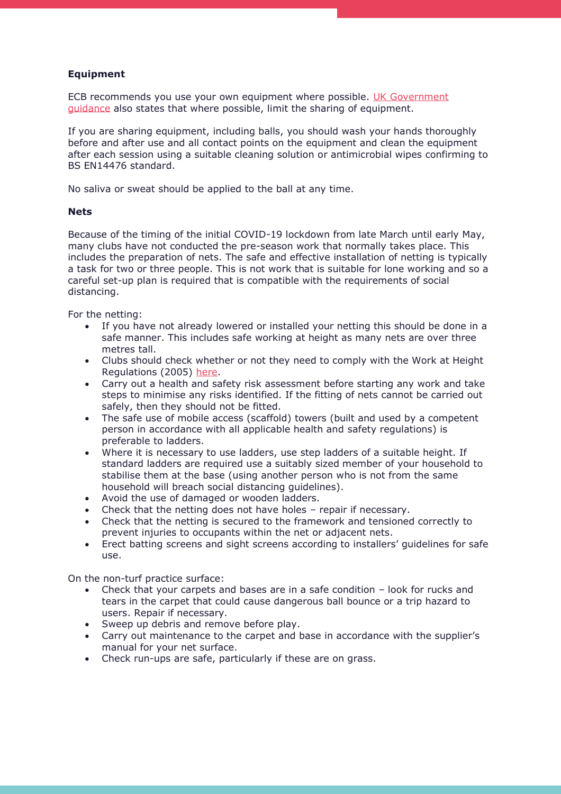### **Equipment**

ECB recommends you use your own equipment where possible. UK Government [guidance](https://www.gov.uk/government/publications/coronavirus-covid-19-guidance-on-phased-return-of-sport-and-recreation/guidance-for-the-public-on-the-phased-return-of-outdoor-sport-and-recreation) also states that where possible, limit the sharing of equipment.

If you are sharing equipment, including balls, you should wash your hands thoroughly before and after use and all contact points on the equipment and clean the equipment after each session using a suitable cleaning solution or antimicrobial wipes confirming to BS EN14476 standard.

No saliva or sweat should be applied to the ball at any time.

#### **Nets**

Because of the timing of the initial COVID-19 lockdown from late March until early May, many clubs have not conducted the pre-season work that normally takes place. This includes the preparation of nets. The safe and effective installation of netting is typically a task for two or three people. This is not work that is suitable for lone working and so a careful set-up plan is required that is compatible with the requirements of social distancing.

For the netting:

- If you have not already lowered or installed your netting this should be done in a safe manner. This includes safe working at height as many nets are over three metres tall.
- Clubs should check whether or not they need to comply with the Work at Height Regulations (2005) [here.](https://www.hse.gov.uk/work-at-height/faqs.htm)
- Carry out a health and safety risk assessment before starting any work and take steps to minimise any risks identified. If the fitting of nets cannot be carried out safely, then they should not be fitted.
- The safe use of mobile access (scaffold) towers (built and used by a competent person in accordance with all applicable health and safety regulations) is preferable to ladders.
- Where it is necessary to use ladders, use step ladders of a suitable height. If standard ladders are required use a suitably sized member of your household to stabilise them at the base (using another person who is not from the same household will breach social distancing guidelines).
- Avoid the use of damaged or wooden ladders.
- Check that the netting does not have holes repair if necessary.
- Check that the netting is secured to the framework and tensioned correctly to prevent injuries to occupants within the net or adjacent nets.
- Erect batting screens and sight screens according to installers' guidelines for safe use.

On the non-turf practice surface:

- Check that your carpets and bases are in a safe condition look for rucks and tears in the carpet that could cause dangerous ball bounce or a trip hazard to users. Repair if necessary.
- Sweep up debris and remove before play.
- Carry out maintenance to the carpet and base in accordance with the supplier's manual for your net surface.
- Check run-ups are safe, particularly if these are on grass.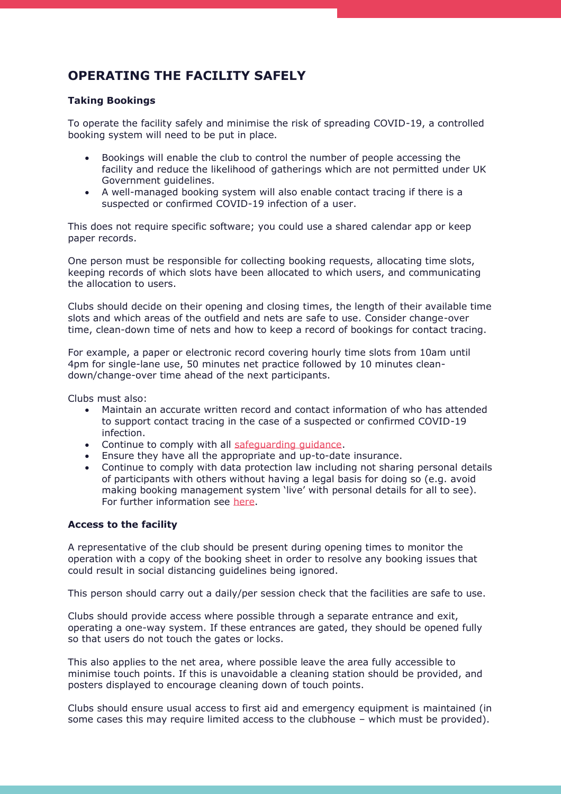## **OPERATING THE FACILITY SAFELY**

### **Taking Bookings**

To operate the facility safely and minimise the risk of spreading COVID-19, a controlled booking system will need to be put in place.

- Bookings will enable the club to control the number of people accessing the facility and reduce the likelihood of gatherings which are not permitted under UK Government guidelines.
- A well-managed booking system will also enable contact tracing if there is a suspected or confirmed COVID-19 infection of a user.

This does not require specific software; you could use a shared calendar app or keep paper records.

One person must be responsible for collecting booking requests, allocating time slots, keeping records of which slots have been allocated to which users, and communicating the allocation to users.

Clubs should decide on their opening and closing times, the length of their available time slots and which areas of the outfield and nets are safe to use. Consider change-over time, clean-down time of nets and how to keep a record of bookings for contact tracing.

For example, a paper or electronic record covering hourly time slots from 10am until 4pm for single-lane use, 50 minutes net practice followed by 10 minutes cleandown/change-over time ahead of the next participants.

Clubs must also:

- Maintain an accurate written record and contact information of who has attended to support contact tracing in the case of a suspected or confirmed COVID-19 infection.
- Continue to comply with all [safeguarding guidance.](https://www.ecb.co.uk/safeguarding)
- Ensure they have all the appropriate and up-to-date insurance.
- Continue to comply with data protection law including not sharing personal details of participants with others without having a legal basis for doing so (e.g. avoid making booking management system 'live' with personal details for all to see). For further information see [here.](https://www.ecb.co.uk/be-involved/club-support/GDPR)

### **Access to the facility**

A representative of the club should be present during opening times to monitor the operation with a copy of the booking sheet in order to resolve any booking issues that could result in social distancing guidelines being ignored.

This person should carry out a daily/per session check that the facilities are safe to use.

Clubs should provide access where possible through a separate entrance and exit, operating a one-way system. If these entrances are gated, they should be opened fully so that users do not touch the gates or locks.

This also applies to the net area, where possible leave the area fully accessible to minimise touch points. If this is unavoidable a cleaning station should be provided, and posters displayed to encourage cleaning down of touch points.

Clubs should ensure usual access to first aid and emergency equipment is maintained (in some cases this may require limited access to the clubhouse – which must be provided).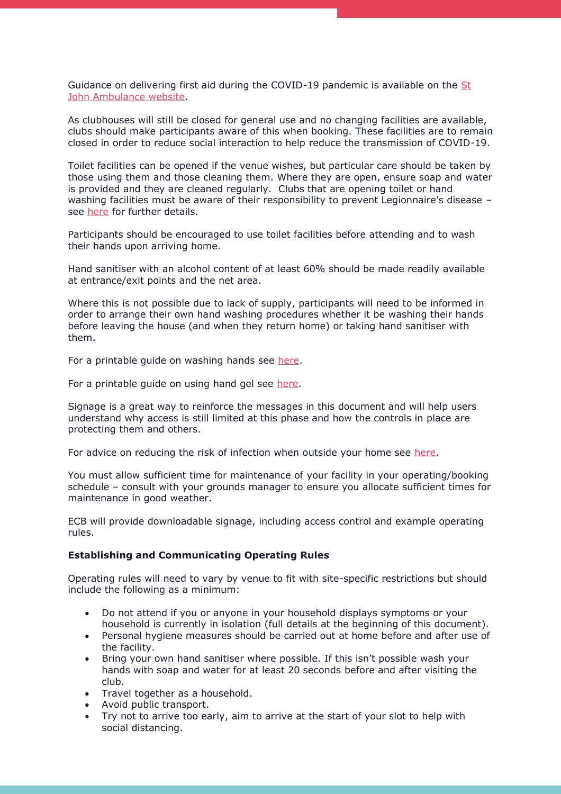Guidance on delivering first aid during the COVID-19 pandemic is available on the [St](https://www.sja.org.uk/get-advice/first-aid-advice/covid-19-advice-for-first-aiders/)  [John Ambulance website.](https://www.sja.org.uk/get-advice/first-aid-advice/covid-19-advice-for-first-aiders/)

As clubhouses will still be closed for general use and no changing facilities are available, clubs should make participants aware of this when booking. These facilities are to remain closed in order to reduce social interaction to help reduce the transmission of COVID-19.

Toilet facilities can be opened if the venue wishes, but particular care should be taken by those using them and those cleaning them. Where they are open, ensure soap and water is provided and they are cleaned regularly. Clubs that are opening toilet or hand washing facilities must be aware of their responsibility to prevent Legionnaire's disease see [here](https://www.hse.gov.uk/legionnaires/) for further details.

Participants should be encouraged to use toilet facilities before attending and to wash their hands upon arriving home.

Hand sanitiser with an alcohol content of at least 60% should be made readily available at entrance/exit points and the net area.

Where this is not possible due to lack of supply, participants will need to be informed in order to arrange their own hand washing procedures whether it be washing their hands before leaving the house (and when they return home) or taking hand sanitiser with them.

For a printable guide on washing hands see [here.](https://www.nhs.uk/live-well/healthy-body/best-way-to-wash-your-hands/)

For a printable guide on using hand gel see [here.](https://www.who.int/gpsc/5may/How_To_HandRub_Poster.pdf?ua=1)

Signage is a great way to reinforce the messages in this document and will help users understand why access is still limited at this phase and how the controls in place are protecting them and others.

For advice on reducing the risk of infection when outside your home see [here.](https://www.gov.uk/government/publications/staying-safe-outside-your-home/staying-safe-outside-your-home)

You must allow sufficient time for maintenance of your facility in your operating/booking schedule – consult with your grounds manager to ensure you allocate sufficient times for maintenance in good weather.

ECB will provide downloadable signage, including access control and example operating rules.

#### **Establishing and Communicating Operating Rules**

Operating rules will need to vary by venue to fit with site-specific restrictions but should include the following as a minimum:

- Do not attend if you or anyone in your household displays symptoms or your household is currently in isolation (full details at the beginning of this document).
- Personal hygiene measures should be carried out at home before and after use of the facility.
- Bring your own hand sanitiser where possible. If this isn't possible wash your hands with soap and water for at least 20 seconds before and after visiting the club.
- Travel together as a household.
- Avoid public transport.
- Try not to arrive too early, aim to arrive at the start of your slot to help with social distancing.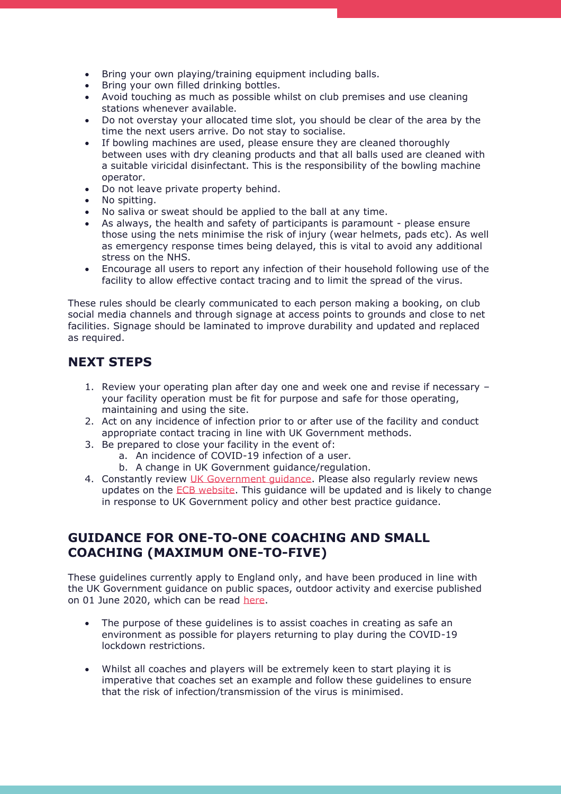- Bring your own playing/training equipment including balls.
- Bring your own filled drinking bottles.
- Avoid touching as much as possible whilst on club premises and use cleaning stations whenever available.
- Do not overstay your allocated time slot, you should be clear of the area by the time the next users arrive. Do not stay to socialise.
- If bowling machines are used, please ensure they are cleaned thoroughly between uses with dry cleaning products and that all balls used are cleaned with a suitable viricidal disinfectant. This is the responsibility of the bowling machine operator.
- Do not leave private property behind.
- No spitting.
- No saliva or sweat should be applied to the ball at any time.
- As always, the health and safety of participants is paramount please ensure those using the nets minimise the risk of injury (wear helmets, pads etc). As well as emergency response times being delayed, this is vital to avoid any additional stress on the NHS.
- Encourage all users to report any infection of their household following use of the facility to allow effective contact tracing and to limit the spread of the virus.

These rules should be clearly communicated to each person making a booking, on club social media channels and through signage at access points to grounds and close to net facilities. Signage should be laminated to improve durability and updated and replaced as required.

## **NEXT STEPS**

- 1. Review your operating plan after day one and week one and revise if necessary your facility operation must be fit for purpose and safe for those operating, maintaining and using the site.
- 2. Act on any incidence of infection prior to or after use of the facility and conduct appropriate contact tracing in line with UK Government methods.
- 3. Be prepared to close your facility in the event of:
	- a. An incidence of COVID-19 infection of a user.
	- b. A change in UK Government guidance/regulation.
- 4. Constantly review UK Government quidance. Please also regularly review news updates on the [ECB website.](https://www.ecb.co.uk/) This guidance will be updated and is likely to change in response to UK Government policy and other best practice guidance.

## **GUIDANCE FOR ONE-TO-ONE COACHING AND SMALL COACHING (MAXIMUM ONE-TO-FIVE)**

These guidelines currently apply to England only, and have been produced in line with the UK Government guidance on public spaces, outdoor activity and exercise published on 01 June 2020, which can be read [here.](https://www.gov.uk/government/publications/coronavirus-covid-19-guidance-on-phased-return-of-sport-and-recreation/guidance-for-personal-trainers-and-coaches-on-the-phased-return-of-sport-and-recreation)

- The purpose of these guidelines is to assist coaches in creating as safe an environment as possible for players returning to play during the COVID-19 lockdown restrictions.
- Whilst all coaches and players will be extremely keen to start playing it is imperative that coaches set an example and follow these guidelines to ensure that the risk of infection/transmission of the virus is minimised.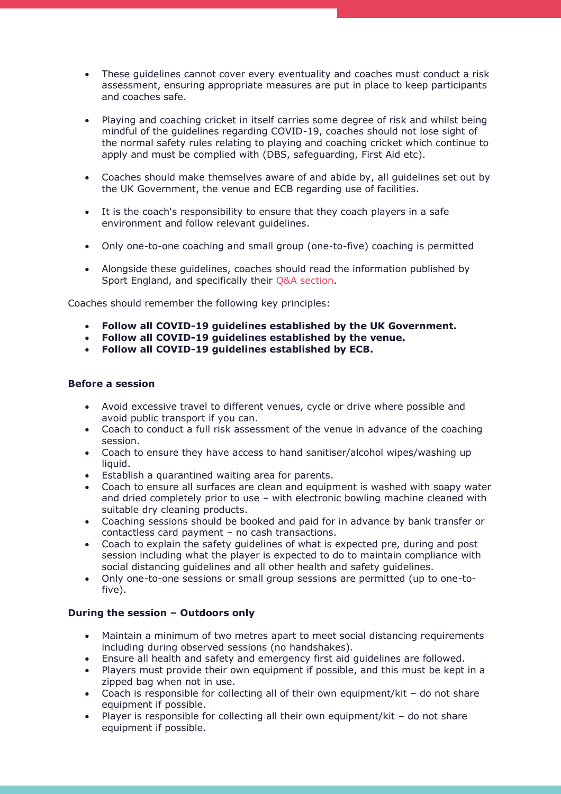- These guidelines cannot cover every eventuality and coaches must conduct a risk assessment, ensuring appropriate measures are put in place to keep participants and coaches safe.
- Playing and coaching cricket in itself carries some degree of risk and whilst being mindful of the guidelines regarding COVID-19, coaches should not lose sight of the normal safety rules relating to playing and coaching cricket which continue to apply and must be complied with (DBS, safeguarding, First Aid etc).
- Coaches should make themselves aware of and abide by, all guidelines set out by the UK Government, the venue and ECB regarding use of facilities.
- It is the coach's responsibility to ensure that they coach players in a safe environment and follow relevant guidelines.
- Only one-to-one coaching and small group (one-to-five) coaching is permitted
- Alongside these guidelines, coaches should read the information published by Sport England, and specifically their O&A section.

Coaches should remember the following key principles:

- **Follow all COVID-19 guidelines established by the UK Government.**
- **Follow all COVID-19 guidelines established by the venue.**
- **Follow all COVID-19 guidelines established by ECB.**

### **Before a session**

- Avoid excessive travel to different venues, cycle or drive where possible and avoid public transport if you can.
- Coach to conduct a full risk assessment of the venue in advance of the coaching session.
- Coach to ensure they have access to hand sanitiser/alcohol wipes/washing up liquid.
- Establish a quarantined waiting area for parents.
- Coach to ensure all surfaces are clean and equipment is washed with soapy water and dried completely prior to use – with electronic bowling machine cleaned with suitable dry cleaning products.
- Coaching sessions should be booked and paid for in advance by bank transfer or contactless card payment – no cash transactions.
- Coach to explain the safety guidelines of what is expected pre, during and post session including what the player is expected to do to maintain compliance with social distancing guidelines and all other health and safety guidelines.
- Only one-to-one sessions or small group sessions are permitted (up to one-tofive).

### **During the session – Outdoors only**

- Maintain a minimum of two metres apart to meet social distancing requirements including during observed sessions (no handshakes).
- Ensure all health and safety and emergency first aid guidelines are followed.
- Players must provide their own equipment if possible, and this must be kept in a zipped bag when not in use.
- Coach is responsible for collecting all of their own equipment/kit do not share equipment if possible.
- Player is responsible for collecting all their own equipment/kit do not share equipment if possible.